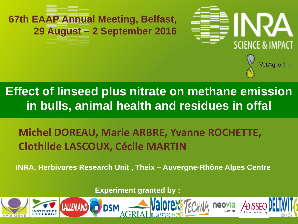

### **Effect of linseed plus nitrate on methane emission in bulls, animal health and residues in offal**

VetAgro Sup

### **Michel DOREAU, Marie ARBRE, Yvanne ROCHETTE, Clothilde LASCOUX, Cécile MARTIN**

**INRA, Herbivores Research Unit , Theix – Auvergne-Rhône Alpes Centre** 

**Experiment granted by :**

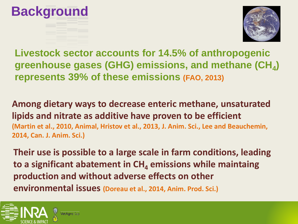



**Livestock sector accounts for 14.5% of anthropogenic greenhouse gases (GHG) emissions, and methane (CH<sub>4</sub>) represents 39% of these emissions (FAO, 2013)**

**Among dietary ways to decrease enteric methane, unsaturated lipids and nitrate as additive have proven to be efficient (Martin et al., 2010, Animal, Hristov et al., 2013, J. Anim. Sci., Lee and Beauchemin, 2014, Can. J. Anim. Sci.)** 

**Their use is possible to a large scale in farm conditions, leading to a significant abatement in CH<sub>4</sub> emissions while maintaing production and without adverse effects on other environmental issues (Doreau et al., 2014, Anim. Prod. Sci.)**

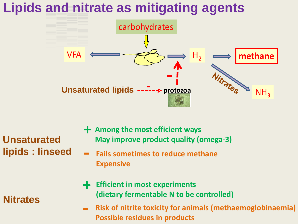## **Lipids and nitrate as mitigating agents**



**Unsaturated lipids : linseed**

- **+ Among the most efficient ways May improve product quality (omega-3)**
- **- Fails sometimes to reduce methane Expensive**
- **+ Efficient in most experiments (dietary fermentable N to be controlled)**
- **- Risk of nitrite toxicity for animals (methaemoglobinaemia) Possible residues in products**

#### **Nitrates**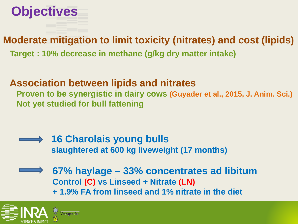

#### **Moderate mitigation to limit toxicity (nitrates) and cost (lipids)**

 **Target : 10% decrease in methane (g/kg dry matter intake)** 

#### **Association between lipids and nitrates**

 **Proven to be synergistic in dairy cows (Guyader et al., 2015, J. Anim. Sci.) Not yet studied for bull fattening** 



**67% haylage – 33% concentrates ad libitum Control (C) vs Linseed + Nitrate (LN) + 1.9% FA from linseed and 1% nitrate in the diet**

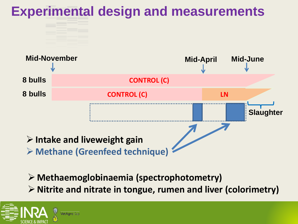

**Methaemoglobinaemia (spectrophotometry) Nitrite and nitrate in tongue, rumen and liver (colorimetry)**

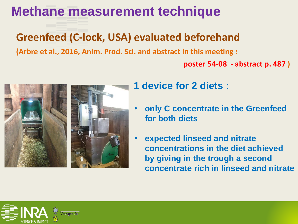### **Methane measurement technique**

### **Greenfeed (C-lock, USA) evaluated beforehand**

**(Arbre et al., 2016, Anim. Prod. Sci. and abstract in this meeting :** 

 **poster 54-08 - abstract p. 487 )**



- **1 device for 2 diets :**
- **only C concentrate in the Greenfeed for both diets**
- **expected linseed and nitrate concentrations in the diet achieved by giving in the trough a second concentrate rich in linseed and nitrate**

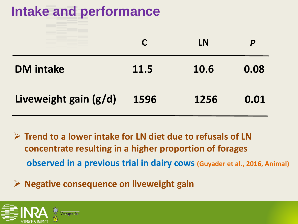# **Intake and performance**

|                       |      | LN   |      |
|-----------------------|------|------|------|
| <b>DM</b> intake      | 11.5 | 10.6 | 0.08 |
| Liveweight gain (g/d) | 1596 | 1256 | 0.01 |

- **Trend to a lower intake for LN diet due to refusals of LN concentrate resulting in a higher proportion of forages observed in a previous trial in dairy cows (Guyader et al., 2016, Animal)**
- **Negative consequence on liveweight gain**

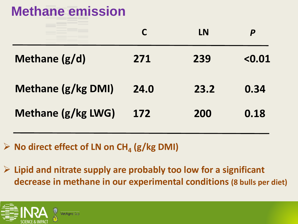## **Methane emission**

|                    |      | LN   | D      |
|--------------------|------|------|--------|
| Methane $(g/d)$    | 271  | 239  | < 0.01 |
| Methane (g/kg DMI) | 24.0 | 23.2 | 0.34   |
| Methane (g/kg LWG) | 172  | 200  | 0.18   |

 $\triangleright$  No direct effect of LN on CH<sub>4</sub> (g/kg DMI)

 **Lipid and nitrate supply are probably too low for a significant decrease in methane in our experimental conditions (8 bulls per diet)**

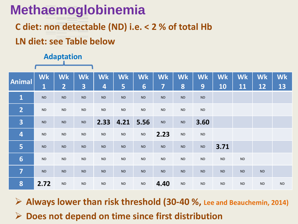## **Methaemoglobinemia**

#### **C diet: non detectable (ND) i.e. < 2 % of total Hb**

#### **LN diet: see Table below**

### **Adaptation**

| Animal                  | <b>Wk</b>   | <b>Wk</b> | <b>Wk</b>  | <b>Wk</b>               | <b>Wk</b> | <b>Wk</b> | <b>Wk</b> | <b>Wk</b> | <b>Wk</b> | <b>Wk</b> | <b>Wk</b> | <b>Wk</b> | <b>Wk</b> |
|-------------------------|-------------|-----------|------------|-------------------------|-----------|-----------|-----------|-----------|-----------|-----------|-----------|-----------|-----------|
|                         | $\mathbf 1$ | 2         | 3          | $\overline{\mathbf{4}}$ | 5         | 6         | 7         | 8         | 9         | 10        | 11        | 12        | 13        |
| $\mathbf{1}$            | <b>ND</b>   | $\sf ND$  | <b>ND</b>  | ND                      | <b>ND</b> | $\sf ND$  | <b>ND</b> | $\sf ND$  | <b>ND</b> |           |           |           |           |
| $\overline{2}$          | <b>ND</b>   | <b>ND</b> | <b>ND</b>  | ${\sf ND}$              | <b>ND</b> | <b>ND</b> | <b>ND</b> | <b>ND</b> | <b>ND</b> |           |           |           |           |
| $\overline{\mathbf{3}}$ | <b>ND</b>   | $\sf ND$  | <b>ND</b>  | 2.33                    | 4.21      | 5.56      | <b>ND</b> | $\sf ND$  | 3.60      |           |           |           |           |
| $\overline{\mathbf{4}}$ | $\sf ND$    | $\sf ND$  | ${\sf ND}$ | $\sf ND$                | ND        | $\sf ND$  | 2.23      | $\sf ND$  | <b>ND</b> |           |           |           |           |
| 5                       | <b>ND</b>   | $\sf ND$  | $\sf ND$   | <b>ND</b>               | <b>ND</b> | <b>ND</b> | <b>ND</b> | <b>ND</b> | <b>ND</b> | 3.71      |           |           |           |
| $6\phantom{1}$          | <b>ND</b>   | $\sf ND$  | ${\sf ND}$ | ${\sf ND}$              | <b>ND</b> | <b>ND</b> | <b>ND</b> | ND        | ND        | $\sf ND$  | $\sf ND$  |           |           |
| 7                       | <b>ND</b>   | $\sf ND$  | $\sf ND$   | <b>ND</b>               | <b>ND</b> | ND        | <b>ND</b> | ND        | <b>ND</b> | $\sf ND$  | ND        | $\sf ND$  |           |
| 8                       | 2.72        | $\sf ND$  | ${\sf ND}$ | $\sf ND$                | <b>ND</b> | $\sf ND$  | 4.40      | ND        | <b>ND</b> | <b>ND</b> | <b>ND</b> | <b>ND</b> | <b>ND</b> |

 **Always lower than risk threshold (30-40 %, Lee and Beauchemin, 2014) Does not depend on time since first distribution**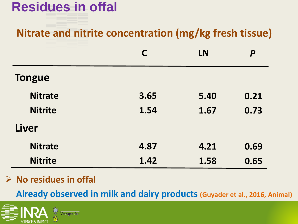## **Residues in offal**

### **Nitrate and nitrite concentration (mg/kg fresh tissue)**

|                |      | LN   | P    |
|----------------|------|------|------|
| <b>Tongue</b>  |      |      |      |
| <b>Nitrate</b> | 3.65 | 5.40 | 0.21 |
| <b>Nitrite</b> | 1.54 | 1.67 | 0.73 |
| Liver          |      |      |      |
| <b>Nitrate</b> | 4.87 | 4.21 | 0.69 |
| <b>Nitrite</b> | 1.42 | 1.58 | 0.65 |

#### **No residues in offal**

 **Already observed in milk and dairy products (Guyader et al., 2016, Animal)**